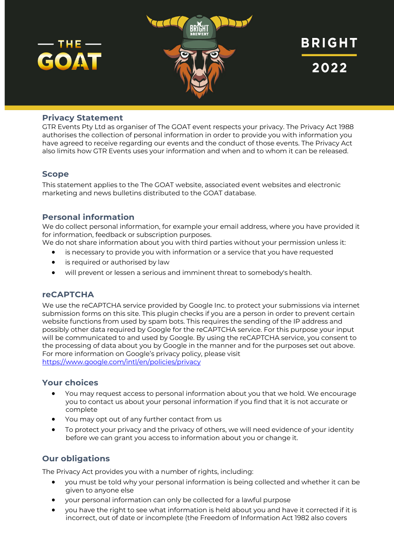

## **Privacy Statement**

GTR Events Pty Ltd as organiser of The GOAT event respects your privacy. The Privacy Act 1988 authorises the collection of personal information in order to provide you with information you have agreed to receive regarding our events and the conduct of those events. The Privacy Act also limits how GTR Events uses your information and when and to whom it can be released.

### **Scope**

This statement applies to the The GOAT website, associated event websites and electronic marketing and news bulletins distributed to the GOAT database.

## **Personal information**

We do collect personal information, for example your email address, where you have provided it for information, feedback or subscription purposes.

- We do not share information about you with third parties without your permission unless it:
	- is necessary to provide you with information or a service that you have requested
	- is required or authorised by law
	- will prevent or lessen a serious and imminent threat to somebody's health.

### **reCAPTCHA**

We use the reCAPTCHA service provided by Google Inc. to protect your submissions via internet submission forms on this site. This plugin checks if you are a person in order to prevent certain website functions from used by spam bots. This requires the sending of the IP address and possibly other data required by Google for the reCAPTCHA service. For this purpose your input will be communicated to and used by Google. By using the reCAPTCHA service, you consent to the processing of data about you by Google in the manner and for the purposes set out above. For more information on Google's privacy policy, please visit https://www.google.com/intl/en/policies/privacy

### **Your choices**

- You may request access to personal information about you that we hold. We encourage you to contact us about your personal information if you find that it is not accurate or complete
- You may opt out of any further contact from us
- To protect your privacy and the privacy of others, we will need evidence of your identity before we can grant you access to information about you or change it.

# **Our obligations**

The Privacy Act provides you with a number of rights, including:

- you must be told why your personal information is being collected and whether it can be given to anyone else
- your personal information can only be collected for a lawful purpose
- you have the right to see what information is held about you and have it corrected if it is incorrect, out of date or incomplete (the Freedom of Information Act 1982 also covers